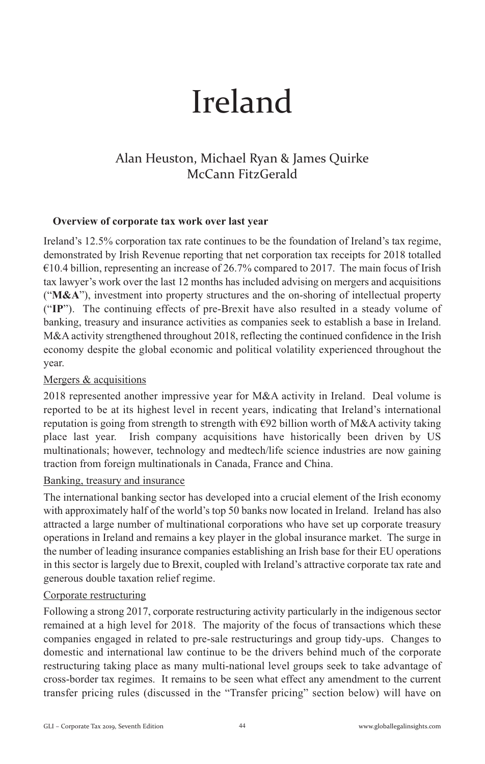# Ireland

# Alan Heuston, Michael Ryan & James Quirke McCann FitzGerald

#### **Overview of corporate tax work over last year**

Ireland's 12.5% corporation tax rate continues to be the foundation of Ireland's tax regime, demonstrated by Irish Revenue reporting that net corporation tax receipts for 2018 totalled  $\epsilon$ 10.4 billion, representing an increase of 26.7% compared to 2017. The main focus of Irish tax lawyer's work over the last 12 months has included advising on mergers and acquisitions ("**M&A**"), investment into property structures and the on-shoring of intellectual property ("**IP**"). The continuing effects of pre-Brexit have also resulted in a steady volume of banking, treasury and insurance activities as companies seek to establish a base in Ireland. M&A activity strengthened throughout 2018, reflecting the continued confidence in the Irish economy despite the global economic and political volatility experienced throughout the year.

### Mergers & acquisitions

2018 represented another impressive year for M&A activity in Ireland. Deal volume is reported to be at its highest level in recent years, indicating that Ireland's international reputation is going from strength to strength with  $\epsilon$ 92 billion worth of M&A activity taking place last year. Irish company acquisitions have historically been driven by US multinationals; however, technology and medtech/life science industries are now gaining traction from foreign multinationals in Canada, France and China.

#### Banking, treasury and insurance

The international banking sector has developed into a crucial element of the Irish economy with approximately half of the world's top 50 banks now located in Ireland. Ireland has also attracted a large number of multinational corporations who have set up corporate treasury operations in Ireland and remains a key player in the global insurance market. The surge in the number of leading insurance companies establishing an Irish base for their EU operations in this sector is largely due to Brexit, coupled with Ireland's attractive corporate tax rate and generous double taxation relief regime.

#### Corporate restructuring

Following a strong 2017, corporate restructuring activity particularly in the indigenous sector remained at a high level for 2018. The majority of the focus of transactions which these companies engaged in related to pre-sale restructurings and group tidy-ups. Changes to domestic and international law continue to be the drivers behind much of the corporate restructuring taking place as many multi-national level groups seek to take advantage of cross-border tax regimes. It remains to be seen what effect any amendment to the current transfer pricing rules (discussed in the "Transfer pricing" section below) will have on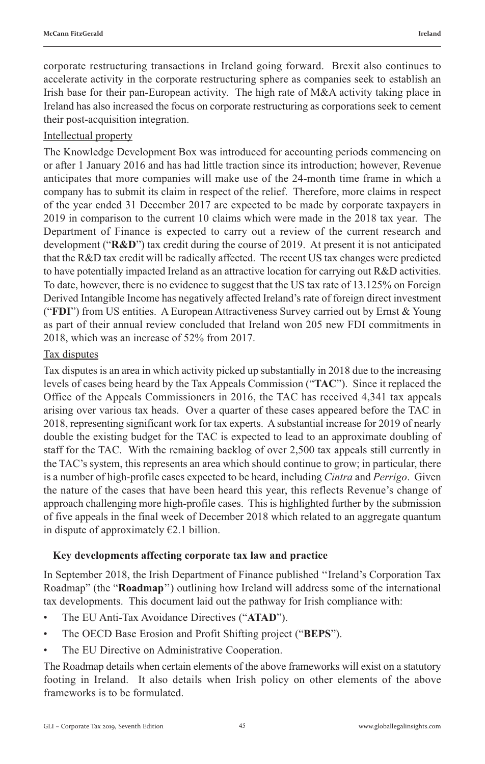corporate restructuring transactions in Ireland going forward. Brexit also continues to accelerate activity in the corporate restructuring sphere as companies seek to establish an Irish base for their pan-European activity. The high rate of M&A activity taking place in Ireland has also increased the focus on corporate restructuring as corporations seek to cement their post-acquisition integration.

#### Intellectual property

The Knowledge Development Box was introduced for accounting periods commencing on or after 1 January 2016 and has had little traction since its introduction; however, Revenue anticipates that more companies will make use of the 24-month time frame in which a company has to submit its claim in respect of the relief. Therefore, more claims in respect of the year ended 31 December 2017 are expected to be made by corporate taxpayers in 2019 in comparison to the current 10 claims which were made in the 2018 tax year. The Department of Finance is expected to carry out a review of the current research and development ("**R&D**") tax credit during the course of 2019. At present it is not anticipated that the R&D tax credit will be radically affected. The recent US tax changes were predicted to have potentially impacted Ireland as an attractive location for carrying out R&D activities. To date, however, there is no evidence to suggest that the US tax rate of 13.125% on Foreign Derived Intangible Income has negatively affected Ireland's rate of foreign direct investment ("**FDI**") from US entities. A European Attractiveness Survey carried out by Ernst & Young as part of their annual review concluded that Ireland won 205 new FDI commitments in 2018, which was an increase of 52% from 2017.

#### Tax disputes

Tax disputes is an area in which activity picked up substantially in 2018 due to the increasing levels of cases being heard by the Tax Appeals Commission ("**TAC**"). Since it replaced the Office of the Appeals Commissioners in 2016, the TAC has received 4,341 tax appeals arising over various tax heads. Over a quarter of these cases appeared before the TAC in 2018, representing significant work for tax experts. A substantial increase for 2019 of nearly double the existing budget for the TAC is expected to lead to an approximate doubling of staff for the TAC. With the remaining backlog of over 2,500 tax appeals still currently in the TAC's system, this represents an area which should continue to grow; in particular, there is a number of high-profile cases expected to be heard, including *Cintra* and *Perrigo*. Given the nature of the cases that have been heard this year, this reflects Revenue's change of approach challenging more high-profile cases. This is highlighted further by the submission of five appeals in the final week of December 2018 which related to an aggregate quantum in dispute of approximately  $E$ 2.1 billion.

## **Key developments affecting corporate tax law and practice**

In September 2018, the Irish Department of Finance published ''Ireland's Corporation Tax Roadmap" (the "**Roadmap**'') outlining how Ireland will address some of the international tax developments. This document laid out the pathway for Irish compliance with:

- The EU Anti-Tax Avoidance Directives ("**ATAD**").
- The OECD Base Erosion and Profit Shifting project ("**BEPS**").
- The EU Directive on Administrative Cooperation.

The Roadmap details when certain elements of the above frameworks will exist on a statutory footing in Ireland. It also details when Irish policy on other elements of the above frameworks is to be formulated.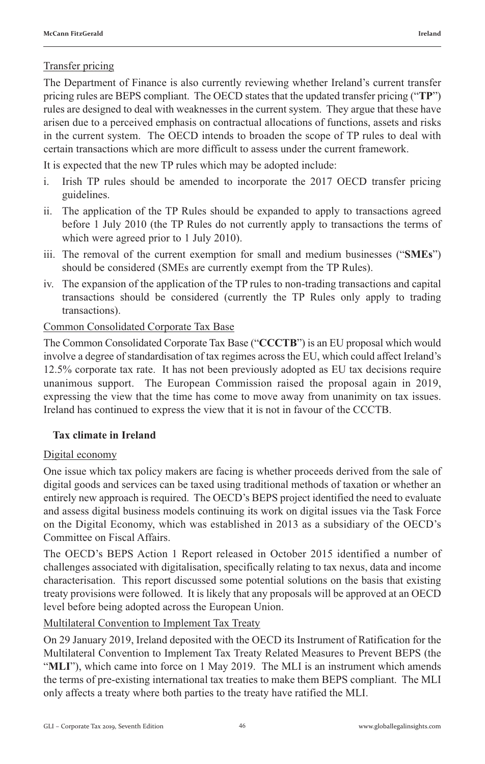The Department of Finance is also currently reviewing whether Ireland's current transfer pricing rules are BEPS compliant. The OECD states that the updated transfer pricing ("**TP**") rules are designed to deal with weaknesses in the current system. They argue that these have arisen due to a perceived emphasis on contractual allocations of functions, assets and risks in the current system. The OECD intends to broaden the scope of TP rules to deal with certain transactions which are more difficult to assess under the current framework.

It is expected that the new TP rules which may be adopted include:

- i. Irish TP rules should be amended to incorporate the 2017 OECD transfer pricing guidelines.
- ii. The application of the TP Rules should be expanded to apply to transactions agreed before 1 July 2010 (the TP Rules do not currently apply to transactions the terms of which were agreed prior to 1 July 2010).
- iii. The removal of the current exemption for small and medium businesses ("**SMEs**") should be considered (SMEs are currently exempt from the TP Rules).
- iv. The expansion of the application of the TP rules to non-trading transactions and capital transactions should be considered (currently the TP Rules only apply to trading transactions).

# Common Consolidated Corporate Tax Base

The Common Consolidated Corporate Tax Base ("**CCCTB**") is an EU proposal which would involve a degree of standardisation of tax regimes across the EU, which could affect Ireland's 12.5% corporate tax rate. It has not been previously adopted as EU tax decisions require unanimous support. The European Commission raised the proposal again in 2019, expressing the view that the time has come to move away from unanimity on tax issues. Ireland has continued to express the view that it is not in favour of the CCCTB.

# **Tax climate in Ireland**

# Digital economy

One issue which tax policy makers are facing is whether proceeds derived from the sale of digital goods and services can be taxed using traditional methods of taxation or whether an entirely new approach is required. The OECD's BEPS project identified the need to evaluate and assess digital business models continuing its work on digital issues via the Task Force on the Digital Economy, which was established in 2013 as a subsidiary of the OECD's Committee on Fiscal Affairs.

The OECD's BEPS Action 1 Report released in October 2015 identified a number of challenges associated with digitalisation, specifically relating to tax nexus, data and income characterisation. This report discussed some potential solutions on the basis that existing treaty provisions were followed. It is likely that any proposals will be approved at an OECD level before being adopted across the European Union.

Multilateral Convention to Implement Tax Treaty

On 29 January 2019, Ireland deposited with the OECD its Instrument of Ratification for the Multilateral Convention to Implement Tax Treaty Related Measures to Prevent BEPS (the "**MLI**"), which came into force on 1 May 2019. The MLI is an instrument which amends the terms of pre-existing international tax treaties to make them BEPS compliant. The MLI only affects a treaty where both parties to the treaty have ratified the MLI.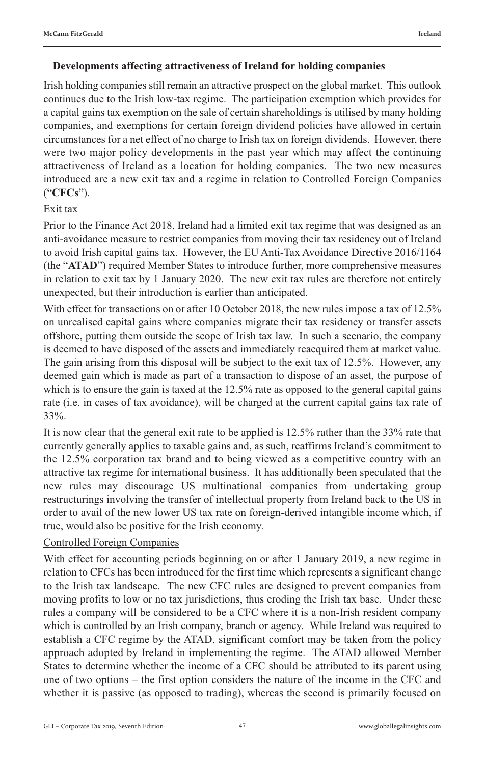#### **Developments affecting attractiveness of Ireland for holding companies**

Irish holding companies still remain an attractive prospect on the global market. This outlook continues due to the Irish low-tax regime. The participation exemption which provides for a capital gains tax exemption on the sale of certain shareholdings is utilised by many holding companies, and exemptions for certain foreign dividend policies have allowed in certain circumstances for a net effect of no charge to Irish tax on foreign dividends. However, there were two major policy developments in the past year which may affect the continuing attractiveness of Ireland as a location for holding companies. The two new measures introduced are a new exit tax and a regime in relation to Controlled Foreign Companies ("**CFCs**").

## Exit tax

Prior to the Finance Act 2018, Ireland had a limited exit tax regime that was designed as an anti-avoidance measure to restrict companies from moving their tax residency out of Ireland to avoid Irish capital gains tax. However, the EU Anti-Tax Avoidance Directive 2016/1164 (the "**ATAD**") required Member States to introduce further, more comprehensive measures in relation to exit tax by 1 January 2020. The new exit tax rules are therefore not entirely unexpected, but their introduction is earlier than anticipated.

With effect for transactions on or after 10 October 2018, the new rules impose a tax of 12.5% on unrealised capital gains where companies migrate their tax residency or transfer assets offshore, putting them outside the scope of Irish tax law. In such a scenario, the company is deemed to have disposed of the assets and immediately reacquired them at market value. The gain arising from this disposal will be subject to the exit tax of 12.5%. However, any deemed gain which is made as part of a transaction to dispose of an asset, the purpose of which is to ensure the gain is taxed at the 12.5% rate as opposed to the general capital gains rate (i.e. in cases of tax avoidance), will be charged at the current capital gains tax rate of 33%.

It is now clear that the general exit rate to be applied is 12.5% rather than the 33% rate that currently generally applies to taxable gains and, as such, reaffirms Ireland's commitment to the 12.5% corporation tax brand and to being viewed as a competitive country with an attractive tax regime for international business. It has additionally been speculated that the new rules may discourage US multinational companies from undertaking group restructurings involving the transfer of intellectual property from Ireland back to the US in order to avail of the new lower US tax rate on foreign-derived intangible income which, if true, would also be positive for the Irish economy.

#### Controlled Foreign Companies

With effect for accounting periods beginning on or after 1 January 2019, a new regime in relation to CFCs has been introduced for the first time which represents a significant change to the Irish tax landscape. The new CFC rules are designed to prevent companies from moving profits to low or no tax jurisdictions, thus eroding the Irish tax base. Under these rules a company will be considered to be a CFC where it is a non-Irish resident company which is controlled by an Irish company, branch or agency. While Ireland was required to establish a CFC regime by the ATAD, significant comfort may be taken from the policy approach adopted by Ireland in implementing the regime. The ATAD allowed Member States to determine whether the income of a CFC should be attributed to its parent using one of two options – the first option considers the nature of the income in the CFC and whether it is passive (as opposed to trading), whereas the second is primarily focused on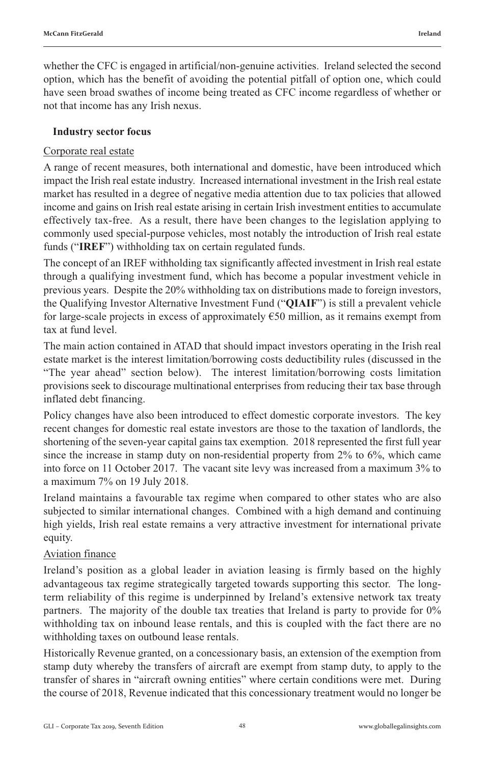whether the CFC is engaged in artificial/non-genuine activities. Ireland selected the second option, which has the benefit of avoiding the potential pitfall of option one, which could have seen broad swathes of income being treated as CFC income regardless of whether or not that income has any Irish nexus.

#### **Industry sector focus**

#### Corporate real estate

A range of recent measures, both international and domestic, have been introduced which impact the Irish real estate industry. Increased international investment in the Irish real estate market has resulted in a degree of negative media attention due to tax policies that allowed income and gains on Irish real estate arising in certain Irish investment entities to accumulate effectively tax-free. As a result, there have been changes to the legislation applying to commonly used special-purpose vehicles, most notably the introduction of Irish real estate funds ("**IREF**") withholding tax on certain regulated funds.

The concept of an IREF withholding tax significantly affected investment in Irish real estate through a qualifying investment fund, which has become a popular investment vehicle in previous years. Despite the 20% withholding tax on distributions made to foreign investors, the Qualifying Investor Alternative Investment Fund ("**QIAIF**") is still a prevalent vehicle for large-scale projects in excess of approximately €50 million, as it remains exempt from tax at fund level.

The main action contained in ATAD that should impact investors operating in the Irish real estate market is the interest limitation/borrowing costs deductibility rules (discussed in the "The year ahead" section below). The interest limitation/borrowing costs limitation provisions seek to discourage multinational enterprises from reducing their tax base through inflated debt financing.

Policy changes have also been introduced to effect domestic corporate investors. The key recent changes for domestic real estate investors are those to the taxation of landlords, the shortening of the seven-year capital gains tax exemption. 2018 represented the first full year since the increase in stamp duty on non-residential property from 2% to 6%, which came into force on 11 October 2017. The vacant site levy was increased from a maximum 3% to a maximum 7% on 19 July 2018.

Ireland maintains a favourable tax regime when compared to other states who are also subjected to similar international changes. Combined with a high demand and continuing high yields, Irish real estate remains a very attractive investment for international private equity.

#### Aviation finance

Ireland's position as a global leader in aviation leasing is firmly based on the highly advantageous tax regime strategically targeted towards supporting this sector. The longterm reliability of this regime is underpinned by Ireland's extensive network tax treaty partners. The majority of the double tax treaties that Ireland is party to provide for 0% withholding tax on inbound lease rentals, and this is coupled with the fact there are no withholding taxes on outbound lease rentals.

Historically Revenue granted, on a concessionary basis, an extension of the exemption from stamp duty whereby the transfers of aircraft are exempt from stamp duty, to apply to the transfer of shares in "aircraft owning entities" where certain conditions were met. During the course of 2018, Revenue indicated that this concessionary treatment would no longer be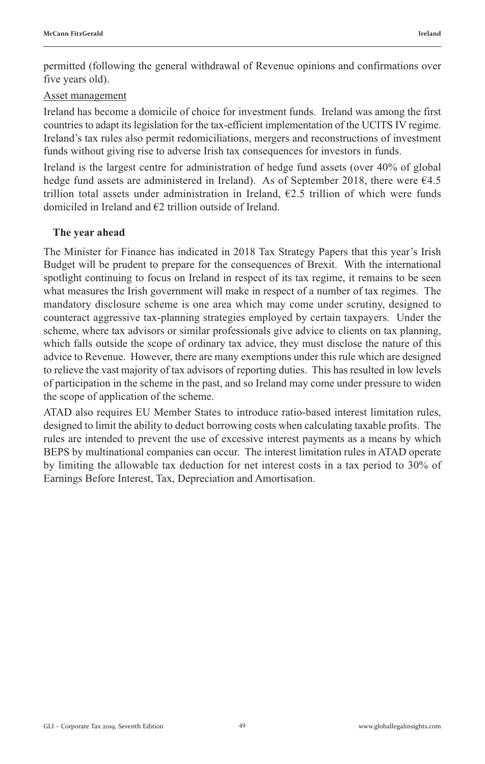permitted (following the general withdrawal of Revenue opinions and confirmations over five years old).

#### Asset management

Ireland has become a domicile of choice for investment funds. Ireland was among the first countries to adapt its legislation for the tax-efficient implementation of the UCITS IV regime. Ireland's tax rules also permit redomiciliations, mergers and reconstructions of investment funds without giving rise to adverse Irish tax consequences for investors in funds.

Ireland is the largest centre for administration of hedge fund assets (over 40% of global hedge fund assets are administered in Ireland). As of September 2018, there were €4.5 trillion total assets under administration in Ireland,  $E2.5$  trillion of which were funds domiciled in Ireland and €2 trillion outside of Ireland.

#### **The year ahead**

The Minister for Finance has indicated in 2018 Tax Strategy Papers that this year's Irish Budget will be prudent to prepare for the consequences of Brexit. With the international spotlight continuing to focus on Ireland in respect of its tax regime, it remains to be seen what measures the Irish government will make in respect of a number of tax regimes. The mandatory disclosure scheme is one area which may come under scrutiny, designed to counteract aggressive tax-planning strategies employed by certain taxpayers. Under the scheme, where tax advisors or similar professionals give advice to clients on tax planning, which falls outside the scope of ordinary tax advice, they must disclose the nature of this advice to Revenue. However, there are many exemptions under this rule which are designed to relieve the vast majority of tax advisors of reporting duties. This has resulted in low levels of participation in the scheme in the past, and so Ireland may come under pressure to widen the scope of application of the scheme.

ATAD also requires EU Member States to introduce ratio‐based interest limitation rules, designed to limit the ability to deduct borrowing costs when calculating taxable profits. The rules are intended to prevent the use of excessive interest payments as a means by which BEPS by multinational companies can occur. The interest limitation rules in ATAD operate by limiting the allowable tax deduction for net interest costs in a tax period to 30% of Earnings Before Interest, Tax, Depreciation and Amortisation.